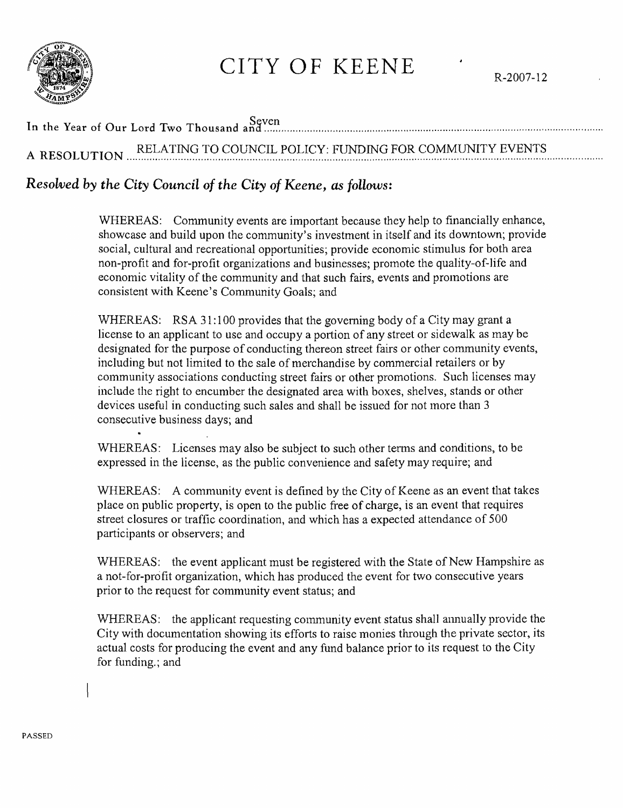

## CITY OF KEENE

## In the Year of Our Lord Two Thousand and .....

RELATING TO COUNCIL POLICY: FUNDING FOR COMMUNITY EVENTS A RESOLUTION

## Resolved by the City Council of the City of Keene, as follows:

WHEREAS: Community events are important because they help to financially enhance, showcase and build upon the community's investment in itself and its downtown; provide social, cultural and recreational opportunities; provide economic stimulus for both area non-profit and for-profit organizations and businesses; promote the quality-of-life and economic vitality of the community and that such fairs, events and promotions are consistent with Keene's Community Goals; and

WHEREAS: RSA 31:100 provides that the governing body of a City may grant a license to an applicant to use and occupy a portion of any street or sidewalk as may be designated for the purpose of conducting thereon street fairs or other community events, including but not limited to the sale of merchandise by commercial retailers or by community associations conducting street fairs or other promotions. Such licenses may include the right to encumber the designated area with boxes, shelves, stands or other devices useful in conducting such sales and shall be issued for not more than 3 consecutive business days; and

WHEREAS: Licenses may also be subject to such other terms and conditions, to be expressed in the license, as the public convenience and safety may require; and

WHEREAS: A community event is defined by the City of Keene as an event that takes place on public property, is open to the public free of charge, is an event that requires street closures or traffic coordination, and which has a expected attendance of 500 participants or observers; and

WHEREAS: the event applicant must be registered with the State of New Hampshire as a not-for-profit organization, which has produced the event for two consecutive years prior to the request for community event status; and

WHEREAS: the applicant requesting community event status shall annually provide the City with documentation showing its efforts to raise monies through the private sector, its actual costs for producing the event and any fund balance prior to its request to the City for funding.; and